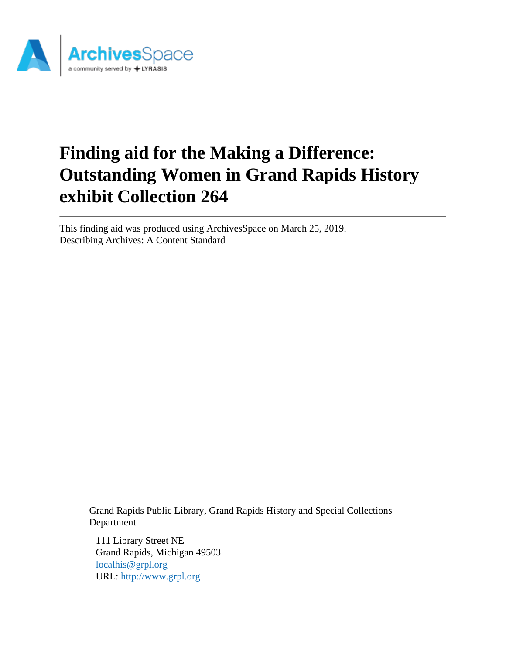

This finding aid was produced using ArchivesSpace on March 25, 2019. Describing Archives: A Content Standard

> Grand Rapids Public Library, Grand Rapids History and Special Collections Department

111 Library Street NE Grand Rapids, Michigan 49503 [localhis@grpl.org](mailto:localhis@grpl.org) URL:<http://www.grpl.org>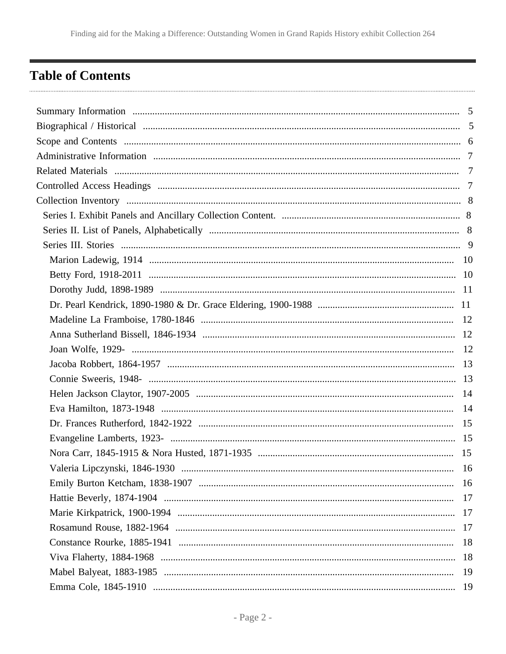# <span id="page-1-0"></span>**Table of Contents**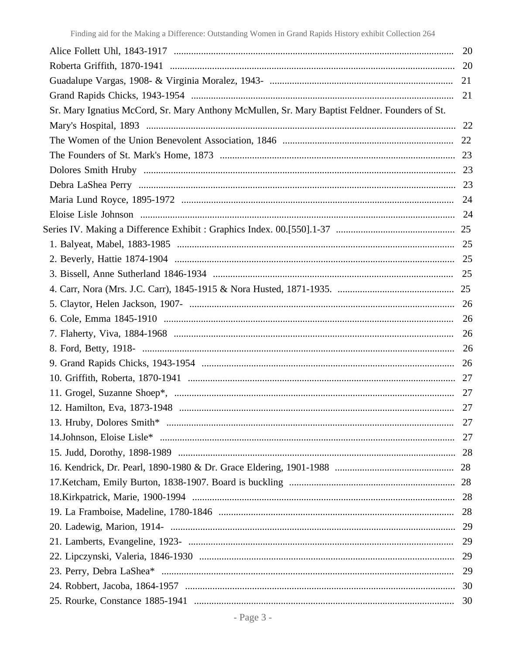|                                                                                                | 21 |
|------------------------------------------------------------------------------------------------|----|
|                                                                                                |    |
| Sr. Mary Ignatius McCord, Sr. Mary Anthony McMullen, Sr. Mary Baptist Feldner. Founders of St. |    |
|                                                                                                |    |
|                                                                                                |    |
|                                                                                                |    |
|                                                                                                |    |
|                                                                                                |    |
|                                                                                                |    |
|                                                                                                |    |
|                                                                                                |    |
|                                                                                                |    |
|                                                                                                |    |
|                                                                                                |    |
|                                                                                                |    |
|                                                                                                |    |
|                                                                                                |    |
|                                                                                                |    |
|                                                                                                |    |
|                                                                                                |    |
|                                                                                                |    |
|                                                                                                |    |
|                                                                                                |    |
|                                                                                                |    |
|                                                                                                |    |
|                                                                                                |    |
|                                                                                                |    |
|                                                                                                |    |
|                                                                                                |    |
|                                                                                                |    |
|                                                                                                |    |
|                                                                                                | 29 |
|                                                                                                |    |
|                                                                                                |    |
|                                                                                                |    |
|                                                                                                |    |
|                                                                                                |    |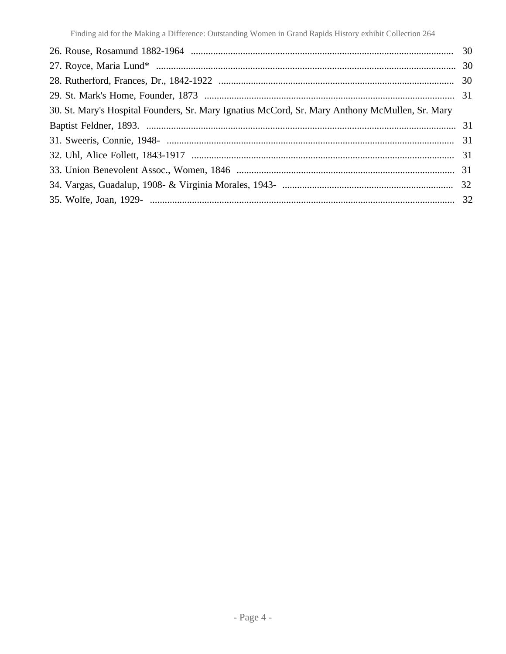| 30. St. Mary's Hospital Founders, Sr. Mary Ignatius McCord, Sr. Mary Anthony McMullen, Sr. Mary |  |
|-------------------------------------------------------------------------------------------------|--|
|                                                                                                 |  |
|                                                                                                 |  |
|                                                                                                 |  |
|                                                                                                 |  |
|                                                                                                 |  |
|                                                                                                 |  |
|                                                                                                 |  |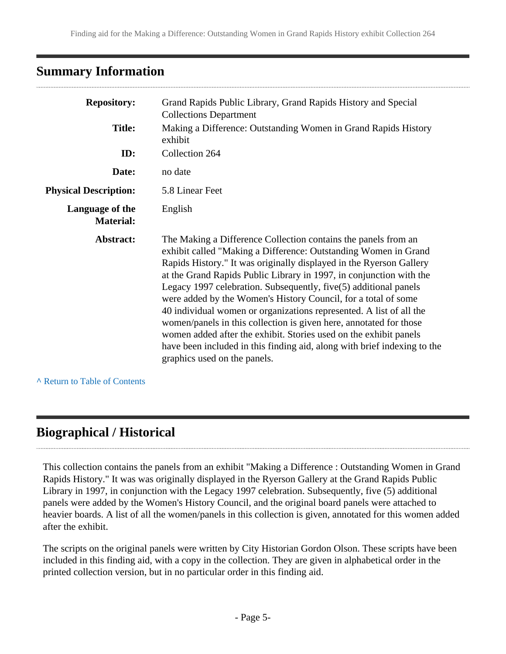# <span id="page-4-0"></span>**Summary Information**

| <b>Repository:</b>                  | Grand Rapids Public Library, Grand Rapids History and Special<br><b>Collections Department</b>                                                                                                                                                                                                                                                                                                                                                                                                                                                                                                                                                                                                                                                      |  |  |  |
|-------------------------------------|-----------------------------------------------------------------------------------------------------------------------------------------------------------------------------------------------------------------------------------------------------------------------------------------------------------------------------------------------------------------------------------------------------------------------------------------------------------------------------------------------------------------------------------------------------------------------------------------------------------------------------------------------------------------------------------------------------------------------------------------------------|--|--|--|
| <b>Title:</b>                       | Making a Difference: Outstanding Women in Grand Rapids History<br>exhibit                                                                                                                                                                                                                                                                                                                                                                                                                                                                                                                                                                                                                                                                           |  |  |  |
| ID:                                 | Collection 264                                                                                                                                                                                                                                                                                                                                                                                                                                                                                                                                                                                                                                                                                                                                      |  |  |  |
| Date:                               | no date                                                                                                                                                                                                                                                                                                                                                                                                                                                                                                                                                                                                                                                                                                                                             |  |  |  |
| <b>Physical Description:</b>        | 5.8 Linear Feet                                                                                                                                                                                                                                                                                                                                                                                                                                                                                                                                                                                                                                                                                                                                     |  |  |  |
| Language of the<br><b>Material:</b> | English                                                                                                                                                                                                                                                                                                                                                                                                                                                                                                                                                                                                                                                                                                                                             |  |  |  |
| Abstract:                           | The Making a Difference Collection contains the panels from an<br>exhibit called "Making a Difference: Outstanding Women in Grand<br>Rapids History." It was originally displayed in the Ryerson Gallery<br>at the Grand Rapids Public Library in 1997, in conjunction with the<br>Legacy 1997 celebration. Subsequently, five(5) additional panels<br>were added by the Women's History Council, for a total of some<br>40 individual women or organizations represented. A list of all the<br>women/panels in this collection is given here, annotated for those<br>women added after the exhibit. Stories used on the exhibit panels<br>have been included in this finding aid, along with brief indexing to the<br>graphics used on the panels. |  |  |  |

**^** [Return to Table of Contents](#page-1-0)

# <span id="page-4-1"></span>**Biographical / Historical**

This collection contains the panels from an exhibit "Making a Difference : Outstanding Women in Grand Rapids History." It was was originally displayed in the Ryerson Gallery at the Grand Rapids Public Library in 1997, in conjunction with the Legacy 1997 celebration. Subsequently, five (5) additional panels were added by the Women's History Council, and the original board panels were attached to heavier boards. A list of all the women/panels in this collection is given, annotated for this women added after the exhibit.

The scripts on the original panels were written by City Historian Gordon Olson. These scripts have been included in this finding aid, with a copy in the collection. They are given in alphabetical order in the printed collection version, but in no particular order in this finding aid.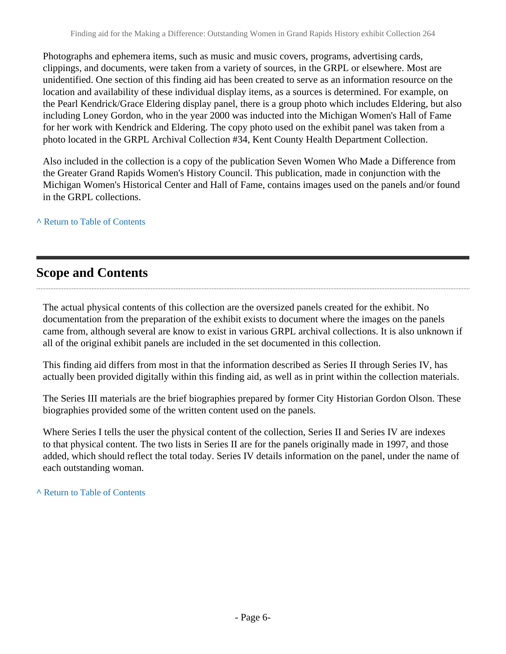Photographs and ephemera items, such as music and music covers, programs, advertising cards, clippings, and documents, were taken from a variety of sources, in the GRPL or elsewhere. Most are unidentified. One section of this finding aid has been created to serve as an information resource on the location and availability of these individual display items, as a sources is determined. For example, on the Pearl Kendrick/Grace Eldering display panel, there is a group photo which includes Eldering, but also including Loney Gordon, who in the year 2000 was inducted into the Michigan Women's Hall of Fame for her work with Kendrick and Eldering. The copy photo used on the exhibit panel was taken from a photo located in the GRPL Archival Collection #34, Kent County Health Department Collection.

Also included in the collection is a copy of the publication Seven Women Who Made a Difference from the Greater Grand Rapids Women's History Council. This publication, made in conjunction with the Michigan Women's Historical Center and Hall of Fame, contains images used on the panels and/or found in the GRPL collections.

**^** [Return to Table of Contents](#page-1-0)

# <span id="page-5-0"></span>**Scope and Contents**

The actual physical contents of this collection are the oversized panels created for the exhibit. No documentation from the preparation of the exhibit exists to document where the images on the panels came from, although several are know to exist in various GRPL archival collections. It is also unknown if all of the original exhibit panels are included in the set documented in this collection.

This finding aid differs from most in that the information described as Series II through Series IV, has actually been provided digitally within this finding aid, as well as in print within the collection materials.

The Series III materials are the brief biographies prepared by former City Historian Gordon Olson. These biographies provided some of the written content used on the panels.

Where Series I tells the user the physical content of the collection, Series II and Series IV are indexes to that physical content. The two lists in Series II are for the panels originally made in 1997, and those added, which should reflect the total today. Series IV details information on the panel, under the name of each outstanding woman.

**^** [Return to Table of Contents](#page-1-0)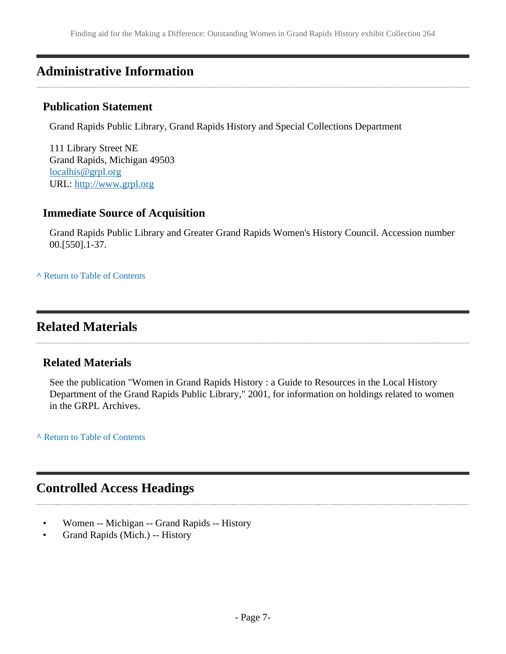# <span id="page-6-0"></span>**Administrative Information**

### **Publication Statement**

Grand Rapids Public Library, Grand Rapids History and Special Collections Department

111 Library Street NE Grand Rapids, Michigan 49503 [localhis@grpl.org](mailto:localhis@grpl.org) URL:<http://www.grpl.org>

# **Immediate Source of Acquisition**

Grand Rapids Public Library and Greater Grand Rapids Women's History Council. Accession number 00.[550].1-37.

**^** [Return to Table of Contents](#page-1-0)

# <span id="page-6-1"></span>**Related Materials**

# **Related Materials**

See the publication "Women in Grand Rapids History : a Guide to Resources in the Local History Department of the Grand Rapids Public Library," 2001, for information on holdings related to women in the GRPL Archives.

**^** [Return to Table of Contents](#page-1-0)

# <span id="page-6-2"></span>**Controlled Access Headings**

- Women -- Michigan -- Grand Rapids -- History
- Grand Rapids (Mich.) -- History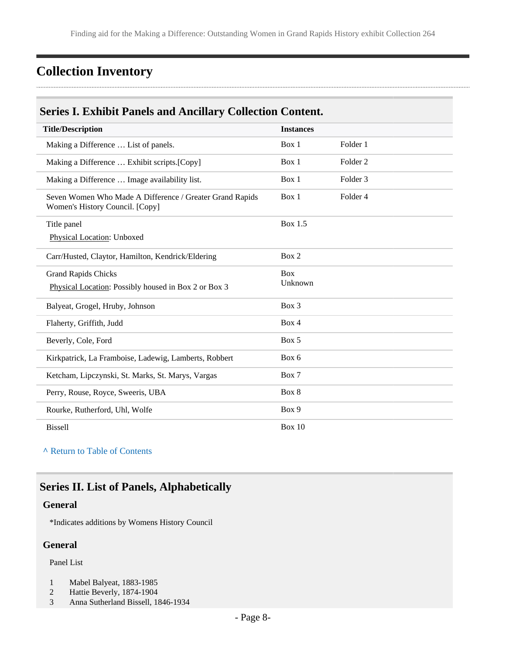# <span id="page-7-0"></span>**Collection Inventory**

# <span id="page-7-1"></span>**Series I. Exhibit Panels and Ancillary Collection Content.**

| <b>Title/Description</b>                                                                    | <b>Instances</b>      |                     |  |
|---------------------------------------------------------------------------------------------|-----------------------|---------------------|--|
| Making a Difference  List of panels.                                                        | Box 1                 | Folder 1            |  |
| Making a Difference  Exhibit scripts. [Copy]                                                | Box 1                 | Folder <sub>2</sub> |  |
| Making a Difference  Image availability list.                                               | Box 1                 | Folder 3            |  |
| Seven Women Who Made A Difference / Greater Grand Rapids<br>Women's History Council. [Copy] | Box 1                 | Folder 4            |  |
| Title panel                                                                                 | <b>Box 1.5</b>        |                     |  |
| Physical Location: Unboxed                                                                  |                       |                     |  |
| Carr/Husted, Claytor, Hamilton, Kendrick/Eldering                                           | Box 2                 |                     |  |
| <b>Grand Rapids Chicks</b>                                                                  | <b>Box</b><br>Unknown |                     |  |
| Physical Location: Possibly housed in Box 2 or Box 3                                        |                       |                     |  |
| Balyeat, Grogel, Hruby, Johnson                                                             | Box 3                 |                     |  |
| Flaherty, Griffith, Judd                                                                    | Box 4                 |                     |  |
| Beverly, Cole, Ford                                                                         | Box 5                 |                     |  |
| Kirkpatrick, La Framboise, Ladewig, Lamberts, Robbert                                       | Box 6                 |                     |  |
| Ketcham, Lipczynski, St. Marks, St. Marys, Vargas                                           | Box 7                 |                     |  |
| Perry, Rouse, Royce, Sweeris, UBA                                                           | Box 8                 |                     |  |
| Rourke, Rutherford, Uhl, Wolfe                                                              | Box 9                 |                     |  |
| <b>Bissell</b>                                                                              | Box $10$              |                     |  |

**^** [Return to Table of Contents](#page-1-0)

# <span id="page-7-2"></span>**Series II. List of Panels, Alphabetically**

#### **General**

\*Indicates additions by Womens History Council

### **General**

Panel List

- 1 Mabel Balyeat, 1883-1985
- 2 Hattie Beverly, 1874-1904
- 3 Anna Sutherland Bissell, 1846-1934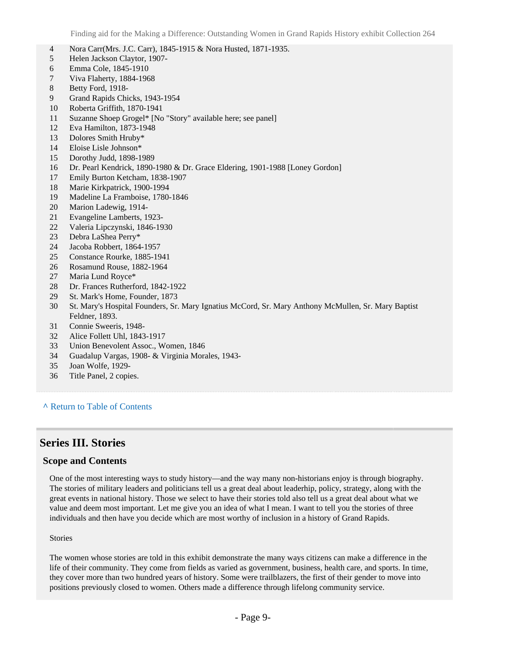- Nora Carr(Mrs. J.C. Carr), 1845-1915 & Nora Husted, 1871-1935.
- Helen Jackson Claytor, 1907-
- Emma Cole, 1845-1910
- Viva Flaherty, 1884-1968
- Betty Ford, 1918-
- Grand Rapids Chicks, 1943-1954
- Roberta Griffith, 1870-1941
- Suzanne Shoep Grogel\* [No "Story" available here; see panel]
- Eva Hamilton, 1873-1948
- Dolores Smith Hruby\*
- Eloise Lisle Johnson\*
- Dorothy Judd, 1898-1989
- Dr. Pearl Kendrick, 1890-1980 & Dr. Grace Eldering, 1901-1988 [Loney Gordon]
- Emily Burton Ketcham, 1838-1907
- Marie Kirkpatrick, 1900-1994
- Madeline La Framboise, 1780-1846
- Marion Ladewig, 1914-
- Evangeline Lamberts, 1923-
- Valeria Lipczynski, 1846-1930
- Debra LaShea Perry\*
- Jacoba Robbert, 1864-1957
- Constance Rourke, 1885-1941
- Rosamund Rouse, 1882-1964
- Maria Lund Royce\*
- Dr. Frances Rutherford, 1842-1922
- St. Mark's Home, Founder, 1873
- St. Mary's Hospital Founders, Sr. Mary Ignatius McCord, Sr. Mary Anthony McMullen, Sr. Mary Baptist Feldner, 1893.
- Connie Sweeris, 1948-
- Alice Follett Uhl, 1843-1917
- Union Benevolent Assoc., Women, 1846
- Guadalup Vargas, 1908- & Virginia Morales, 1943-
- Joan Wolfe, 1929-
- Title Panel, 2 copies.

#### **^** [Return to Table of Contents](#page-1-0)

### <span id="page-8-0"></span>**Series III. Stories**

#### **Scope and Contents**

One of the most interesting ways to study history—and the way many non-historians enjoy is through biography. The stories of military leaders and politicians tell us a great deal about leaderhip, policy, strategy, along with the great events in national history. Those we select to have their stories told also tell us a great deal about what we value and deem most important. Let me give you an idea of what I mean. I want to tell you the stories of three individuals and then have you decide which are most worthy of inclusion in a history of Grand Rapids.

#### Stories

The women whose stories are told in this exhibit demonstrate the many ways citizens can make a difference in the life of their community. They come from fields as varied as government, business, health care, and sports. In time, they cover more than two hundred years of history. Some were trailblazers, the first of their gender to move into positions previously closed to women. Others made a difference through lifelong community service.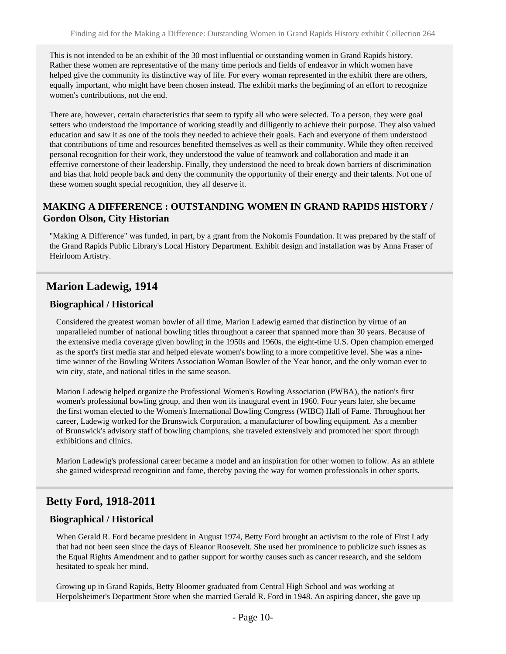This is not intended to be an exhibit of the 30 most influential or outstanding women in Grand Rapids history. Rather these women are representative of the many time periods and fields of endeavor in which women have helped give the community its distinctive way of life. For every woman represented in the exhibit there are others, equally important, who might have been chosen instead. The exhibit marks the beginning of an effort to recognize women's contributions, not the end.

There are, however, certain characteristics that seem to typify all who were selected. To a person, they were goal setters who understood the importance of working steadily and dilligently to achieve their purpose. They also valued education and saw it as one of the tools they needed to achieve their goals. Each and everyone of them understood that contributions of time and resources benefited themselves as well as their community. While they often received personal recognition for their work, they understood the value of teamwork and collaboration and made it an effective cornerstone of their leadership. Finally, they understood the need to break down barriers of discrimination and bias that hold people back and deny the community the opportunity of their energy and their talents. Not one of these women sought special recognition, they all deserve it.

### **MAKING A DIFFERENCE : OUTSTANDING WOMEN IN GRAND RAPIDS HISTORY / Gordon Olson, City Historian**

"Making A Difference" was funded, in part, by a grant from the Nokomis Foundation. It was prepared by the staff of the Grand Rapids Public Library's Local History Department. Exhibit design and installation was by Anna Fraser of Heirloom Artistry.

### <span id="page-9-0"></span>**Marion Ladewig, 1914**

#### **Biographical / Historical**

Considered the greatest woman bowler of all time, Marion Ladewig earned that distinction by virtue of an unparalleled number of national bowling titles throughout a career that spanned more than 30 years. Because of the extensive media coverage given bowling in the 1950s and 1960s, the eight-time U.S. Open champion emerged as the sport's first media star and helped elevate women's bowling to a more competitive level. She was a ninetime winner of the Bowling Writers Association Woman Bowler of the Year honor, and the only woman ever to win city, state, and national titles in the same season.

Marion Ladewig helped organize the Professional Women's Bowling Association (PWBA), the nation's first women's professional bowling group, and then won its inaugural event in 1960. Four years later, she became the first woman elected to the Women's International Bowling Congress (WIBC) Hall of Fame. Throughout her career, Ladewig worked for the Brunswick Corporation, a manufacturer of bowling equipment. As a member of Brunswick's advisory staff of bowling champions, she traveled extensively and promoted her sport through exhibitions and clinics.

Marion Ladewig's professional career became a model and an inspiration for other women to follow. As an athlete she gained widespread recognition and fame, thereby paving the way for women professionals in other sports.

### <span id="page-9-1"></span>**Betty Ford, 1918-2011**

#### **Biographical / Historical**

When Gerald R. Ford became president in August 1974, Betty Ford brought an activism to the role of First Lady that had not been seen since the days of Eleanor Roosevelt. She used her prominence to publicize such issues as the Equal Rights Amendment and to gather support for worthy causes such as cancer research, and she seldom hesitated to speak her mind.

Growing up in Grand Rapids, Betty Bloomer graduated from Central High School and was working at Herpolsheimer's Department Store when she married Gerald R. Ford in 1948. An aspiring dancer, she gave up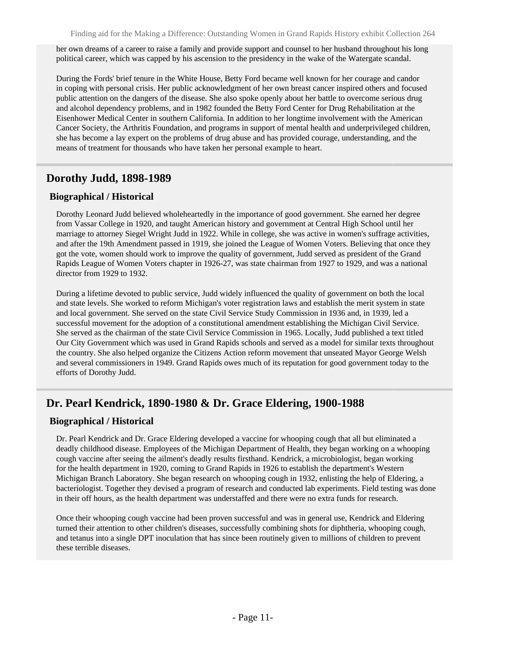her own dreams of a career to raise a family and provide support and counsel to her husband throughout his long political career, which was capped by his ascension to the presidency in the wake of the Watergate scandal.

During the Fords' brief tenure in the White House, Betty Ford became well known for her courage and candor in coping with personal crisis. Her public acknowledgment of her own breast cancer inspired others and focused public attention on the dangers of the disease. She also spoke openly about her battle to overcome serious drug and alcohol dependency problems, and in 1982 founded the Betty Ford Center for Drug Rehabilitation at the Eisenhower Medical Center in southern California. In addition to her longtime involvement with the American Cancer Society, the Arthritis Foundation, and programs in support of mental health and underprivileged children, she has become a lay expert on the problems of drug abuse and has provided courage, understanding, and the means of treatment for thousands who have taken her personal example to heart.

### <span id="page-10-0"></span>**Dorothy Judd, 1898-1989**

#### **Biographical / Historical**

Dorothy Leonard Judd believed wholeheartedly in the importance of good government. She earned her degree from Vassar College in 1920, and taught American history and government at Central High School until her marriage to attorney Siegel Wright Judd in 1922. While in college, she was active in women's suffrage activities, and after the 19th Amendment passed in 1919, she joined the League of Women Voters. Believing that once they got the vote, women should work to improve the quality of government, Judd served as president of the Grand Rapids League of Women Voters chapter in 1926-27, was state chairman from 1927 to 1929, and was a national director from 1929 to 1932.

During a lifetime devoted to public service, Judd widely influenced the quality of government on both the local and state levels. She worked to reform Michigan's voter registration laws and establish the merit system in state and local government. She served on the state Civil Service Study Commission in 1936 and, in 1939, led a successful movement for the adoption of a constitutional amendment establishing the Michigan Civil Service. She served as the chairman of the state Civil Service Commission in 1965. Locally, Judd published a text titled Our City Government which was used in Grand Rapids schools and served as a model for similar texts throughout the country. She also helped organize the Citizens Action reform movement that unseated Mayor George Welsh and several commissioners in 1949. Grand Rapids owes much of its reputation for good government today to the efforts of Dorothy Judd.

# <span id="page-10-1"></span>**Dr. Pearl Kendrick, 1890-1980 & Dr. Grace Eldering, 1900-1988**

### **Biographical / Historical**

Dr. Pearl Kendrick and Dr. Grace Eldering developed a vaccine for whooping cough that all but eliminated a deadly childhood disease. Employees of the Michigan Department of Health, they began working on a whooping cough vaccine after seeing the ailment's deadly results firsthand. Kendrick, a microbiologist, began working for the health department in 1920, coming to Grand Rapids in 1926 to establish the department's Western Michigan Branch Laboratory. She began research on whooping cough in 1932, enlisting the help of Eldering, a bacteriologist. Together they devised a program of research and conducted lab experiments. Field testing was done in their off hours, as the health department was understaffed and there were no extra funds for research.

Once their whooping cough vaccine had been proven successful and was in general use, Kendrick and Eldering turned their attention to other children's diseases, successfully combining shots for diphtheria, whooping cough, and tetanus into a single DPT inoculation that has since been routinely given to millions of children to prevent these terrible diseases.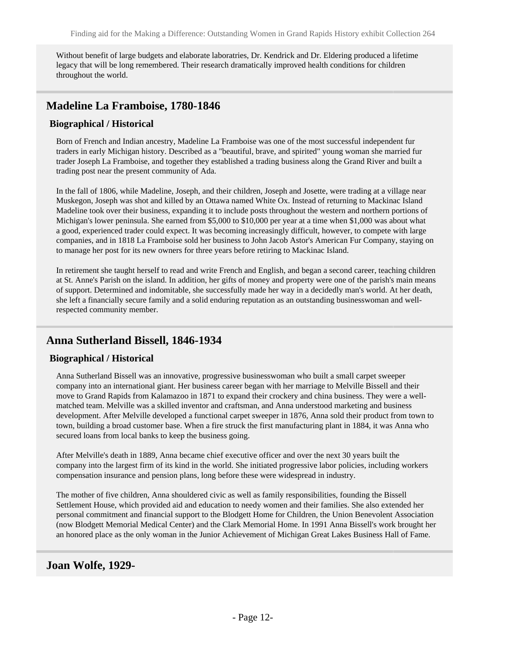Without benefit of large budgets and elaborate laboratries, Dr. Kendrick and Dr. Eldering produced a lifetime legacy that will be long remembered. Their research dramatically improved health conditions for children throughout the world.

# <span id="page-11-0"></span>**Madeline La Framboise, 1780-1846**

### **Biographical / Historical**

Born of French and Indian ancestry, Madeline La Framboise was one of the most successful independent fur traders in early Michigan history. Described as a "beautiful, brave, and spirited" young woman she married fur trader Joseph La Framboise, and together they established a trading business along the Grand River and built a trading post near the present community of Ada.

In the fall of 1806, while Madeline, Joseph, and their children, Joseph and Josette, were trading at a village near Muskegon, Joseph was shot and killed by an Ottawa named White Ox. Instead of returning to Mackinac Island Madeline took over their business, expanding it to include posts throughout the western and northern portions of Michigan's lower peninsula. She earned from \$5,000 to \$10,000 per year at a time when \$1,000 was about what a good, experienced trader could expect. It was becoming increasingly difficult, however, to compete with large companies, and in 1818 La Framboise sold her business to John Jacob Astor's American Fur Company, staying on to manage her post for its new owners for three years before retiring to Mackinac Island.

In retirement she taught herself to read and write French and English, and began a second career, teaching children at St. Anne's Parish on the island. In addition, her gifts of money and property were one of the parish's main means of support. Determined and indomitable, she successfully made her way in a decidedly man's world. At her death, she left a financially secure family and a solid enduring reputation as an outstanding businesswoman and wellrespected community member.

# <span id="page-11-1"></span>**Anna Sutherland Bissell, 1846-1934**

### **Biographical / Historical**

Anna Sutherland Bissell was an innovative, progressive businesswoman who built a small carpet sweeper company into an international giant. Her business career began with her marriage to Melville Bissell and their move to Grand Rapids from Kalamazoo in 1871 to expand their crockery and china business. They were a wellmatched team. Melville was a skilled inventor and craftsman, and Anna understood marketing and business development. After Melville developed a functional carpet sweeper in 1876, Anna sold their product from town to town, building a broad customer base. When a fire struck the first manufacturing plant in 1884, it was Anna who secured loans from local banks to keep the business going.

After Melville's death in 1889, Anna became chief executive officer and over the next 30 years built the company into the largest firm of its kind in the world. She initiated progressive labor policies, including workers compensation insurance and pension plans, long before these were widespread in industry.

The mother of five children, Anna shouldered civic as well as family responsibilities, founding the Bissell Settlement House, which provided aid and education to needy women and their families. She also extended her personal commitment and financial support to the Blodgett Home for Children, the Union Benevolent Association (now Blodgett Memorial Medical Center) and the Clark Memorial Home. In 1991 Anna Bissell's work brought her an honored place as the only woman in the Junior Achievement of Michigan Great Lakes Business Hall of Fame.

### <span id="page-11-2"></span>**Joan Wolfe, 1929-**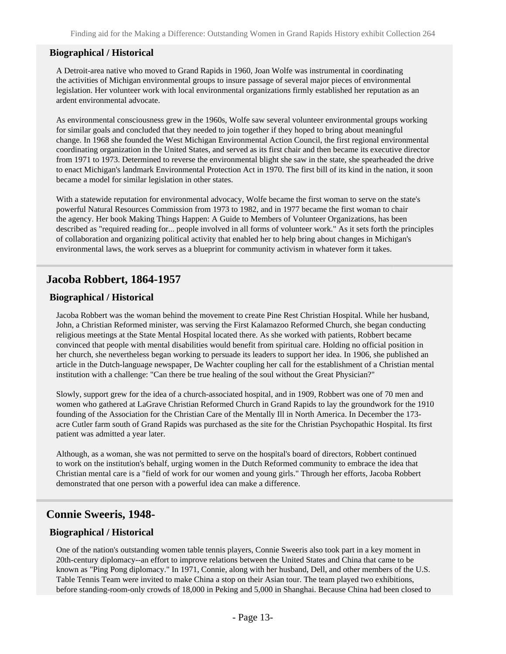#### **Biographical / Historical**

A Detroit-area native who moved to Grand Rapids in 1960, Joan Wolfe was instrumental in coordinating the activities of Michigan environmental groups to insure passage of several major pieces of environmental legislation. Her volunteer work with local environmental organizations firmly established her reputation as an ardent environmental advocate.

As environmental consciousness grew in the 1960s, Wolfe saw several volunteer environmental groups working for similar goals and concluded that they needed to join together if they hoped to bring about meaningful change. In 1968 she founded the West Michigan Environmental Action Council, the first regional environmental coordinating organization in the United States, and served as its first chair and then became its executive director from 1971 to 1973. Determined to reverse the environmental blight she saw in the state, she spearheaded the drive to enact Michigan's landmark Environmental Protection Act in 1970. The first bill of its kind in the nation, it soon became a model for similar legislation in other states.

With a statewide reputation for environmental advocacy, Wolfe became the first woman to serve on the state's powerful Natural Resources Commission from 1973 to 1982, and in 1977 became the first woman to chair the agency. Her book Making Things Happen: A Guide to Members of Volunteer Organizations, has been described as "required reading for... people involved in all forms of volunteer work." As it sets forth the principles of collaboration and organizing political activity that enabled her to help bring about changes in Michigan's environmental laws, the work serves as a blueprint for community activism in whatever form it takes.

### <span id="page-12-0"></span>**Jacoba Robbert, 1864-1957**

#### **Biographical / Historical**

Jacoba Robbert was the woman behind the movement to create Pine Rest Christian Hospital. While her husband, John, a Christian Reformed minister, was serving the First Kalamazoo Reformed Church, she began conducting religious meetings at the State Mental Hospital located there. As she worked with patients, Robbert became convinced that people with mental disabilities would benefit from spiritual care. Holding no official position in her church, she nevertheless began working to persuade its leaders to support her idea. In 1906, she published an article in the Dutch-language newspaper, De Wachter coupling her call for the establishment of a Christian mental institution with a challenge: "Can there be true healing of the soul without the Great Physician?"

Slowly, support grew for the idea of a church-associated hospital, and in 1909, Robbert was one of 70 men and women who gathered at LaGrave Christian Reformed Church in Grand Rapids to lay the groundwork for the 1910 founding of the Association for the Christian Care of the Mentally Ill in North America. In December the 173 acre Cutler farm south of Grand Rapids was purchased as the site for the Christian Psychopathic Hospital. Its first patient was admitted a year later.

Although, as a woman, she was not permitted to serve on the hospital's board of directors, Robbert continued to work on the institution's behalf, urging women in the Dutch Reformed community to embrace the idea that Christian mental care is a "field of work for our women and young girls." Through her efforts, Jacoba Robbert demonstrated that one person with a powerful idea can make a difference.

### <span id="page-12-1"></span>**Connie Sweeris, 1948-**

#### **Biographical / Historical**

One of the nation's outstanding women table tennis players, Connie Sweeris also took part in a key moment in 20th-century diplomacy--an effort to improve relations between the United States and China that came to be known as "Ping Pong diplomacy." In 1971, Connie, along with her husband, Dell, and other members of the U.S. Table Tennis Team were invited to make China a stop on their Asian tour. The team played two exhibitions, before standing-room-only crowds of 18,000 in Peking and 5,000 in Shanghai. Because China had been closed to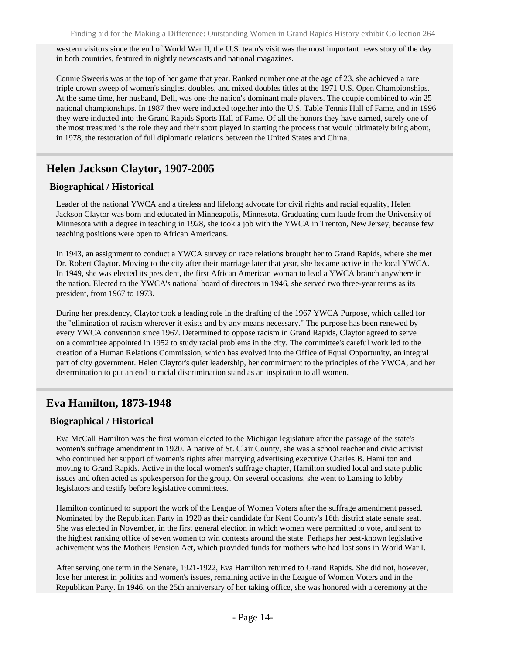western visitors since the end of World War II, the U.S. team's visit was the most important news story of the day in both countries, featured in nightly newscasts and national magazines.

Connie Sweeris was at the top of her game that year. Ranked number one at the age of 23, she achieved a rare triple crown sweep of women's singles, doubles, and mixed doubles titles at the 1971 U.S. Open Championships. At the same time, her husband, Dell, was one the nation's dominant male players. The couple combined to win 25 national championships. In 1987 they were inducted together into the U.S. Table Tennis Hall of Fame, and in 1996 they were inducted into the Grand Rapids Sports Hall of Fame. Of all the honors they have earned, surely one of the most treasured is the role they and their sport played in starting the process that would ultimately bring about, in 1978, the restoration of full diplomatic relations between the United States and China.

### <span id="page-13-0"></span>**Helen Jackson Claytor, 1907-2005**

#### **Biographical / Historical**

Leader of the national YWCA and a tireless and lifelong advocate for civil rights and racial equality, Helen Jackson Claytor was born and educated in Minneapolis, Minnesota. Graduating cum laude from the University of Minnesota with a degree in teaching in 1928, she took a job with the YWCA in Trenton, New Jersey, because few teaching positions were open to African Americans.

In 1943, an assignment to conduct a YWCA survey on race relations brought her to Grand Rapids, where she met Dr. Robert Claytor. Moving to the city after their marriage later that year, she became active in the local YWCA. In 1949, she was elected its president, the first African American woman to lead a YWCA branch anywhere in the nation. Elected to the YWCA's national board of directors in 1946, she served two three-year terms as its president, from 1967 to 1973.

During her presidency, Claytor took a leading role in the drafting of the 1967 YWCA Purpose, which called for the "elimination of racism wherever it exists and by any means necessary." The purpose has been renewed by every YWCA convention since 1967. Determined to oppose racism in Grand Rapids, Claytor agreed to serve on a committee appointed in 1952 to study racial problems in the city. The committee's careful work led to the creation of a Human Relations Commission, which has evolved into the Office of Equal Opportunity, an integral part of city government. Helen Claytor's quiet leadership, her commitment to the principles of the YWCA, and her determination to put an end to racial discrimination stand as an inspiration to all women.

# <span id="page-13-1"></span>**Eva Hamilton, 1873-1948**

### **Biographical / Historical**

Eva McCall Hamilton was the first woman elected to the Michigan legislature after the passage of the state's women's suffrage amendment in 1920. A native of St. Clair County, she was a school teacher and civic activist who continued her support of women's rights after marrying advertising executive Charles B. Hamilton and moving to Grand Rapids. Active in the local women's suffrage chapter, Hamilton studied local and state public issues and often acted as spokesperson for the group. On several occasions, she went to Lansing to lobby legislators and testify before legislative committees.

Hamilton continued to support the work of the League of Women Voters after the suffrage amendment passed. Nominated by the Republican Party in 1920 as their candidate for Kent County's 16th district state senate seat. She was elected in November, in the first general election in which women were permitted to vote, and sent to the highest ranking office of seven women to win contests around the state. Perhaps her best-known legislative achivement was the Mothers Pension Act, which provided funds for mothers who had lost sons in World War I.

After serving one term in the Senate, 1921-1922, Eva Hamilton returned to Grand Rapids. She did not, however, lose her interest in politics and women's issues, remaining active in the League of Women Voters and in the Republican Party. In 1946, on the 25th anniversary of her taking office, she was honored with a ceremony at the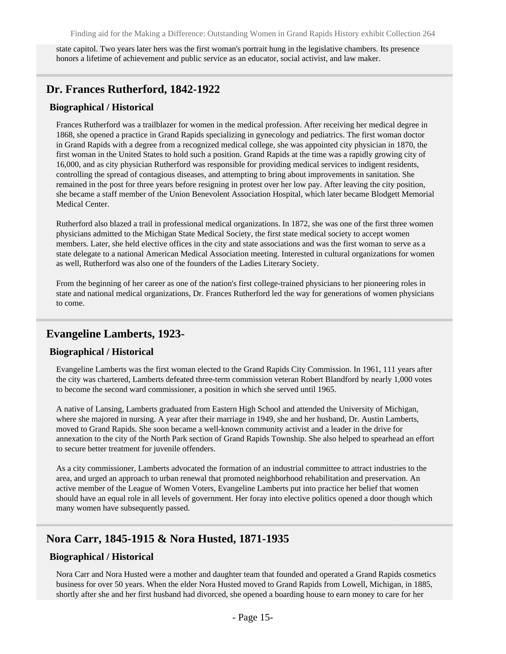state capitol. Two years later hers was the first woman's portrait hung in the legislative chambers. Its presence honors a lifetime of achievement and public service as an educator, social activist, and law maker.

### <span id="page-14-0"></span>**Dr. Frances Rutherford, 1842-1922**

#### **Biographical / Historical**

Frances Rutherford was a trailblazer for women in the medical profession. After receiving her medical degree in 1868, she opened a practice in Grand Rapids specializing in gynecology and pediatrics. The first woman doctor in Grand Rapids with a degree from a recognized medical college, she was appointed city physician in 1870, the first woman in the United States to hold such a position. Grand Rapids at the time was a rapidly growing city of 16,000, and as city physician Rutherford was responsible for providing medical services to indigent residents, controlling the spread of contagious diseases, and attempting to bring about improvements in sanitation. She remained in the post for three years before resigning in protest over her low pay. After leaving the city position, she became a staff member of the Union Benevolent Association Hospital, which later became Blodgett Memorial Medical Center.

Rutherford also blazed a trail in professional medical organizations. In 1872, she was one of the first three women physicians admitted to the Michigan State Medical Society, the first state medical society to accept women members. Later, she held elective offices in the city and state associations and was the first woman to serve as a state delegate to a national American Medical Association meeting. Interested in cultural organizations for women as well, Rutherford was also one of the founders of the Ladies Literary Society.

From the beginning of her career as one of the nation's first college-trained physicians to her pioneering roles in state and national medical organizations, Dr. Frances Rutherford led the way for generations of women physicians to come.

### <span id="page-14-1"></span>**Evangeline Lamberts, 1923-**

#### **Biographical / Historical**

Evangeline Lamberts was the first woman elected to the Grand Rapids City Commission. In 1961, 111 years after the city was chartered, Lamberts defeated three-term commission veteran Robert Blandford by nearly 1,000 votes to become the second ward commissioner, a position in which she served until 1965.

A native of Lansing, Lamberts graduated from Eastern High School and attended the University of Michigan, where she majored in nursing. A year after their marriage in 1949, she and her husband, Dr. Austin Lamberts, moved to Grand Rapids. She soon became a well-known community activist and a leader in the drive for annexation to the city of the North Park section of Grand Rapids Township. She also helped to spearhead an effort to secure better treatment for juvenile offenders.

As a city commissioner, Lamberts advocated the formation of an industrial committee to attract industries to the area, and urged an approach to urban renewal that promoted neighborhood rehabilitation and preservation. An active member of the League of Women Voters, Evangeline Lamberts put into practice her belief that women should have an equal role in all levels of government. Her foray into elective politics opened a door though which many women have subsequently passed.

### <span id="page-14-2"></span>**Nora Carr, 1845-1915 & Nora Husted, 1871-1935**

### **Biographical / Historical**

Nora Carr and Nora Husted were a mother and daughter team that founded and operated a Grand Rapids cosmetics business for over 50 years. When the elder Nora Husted moved to Grand Rapids from Lowell, Michigan, in 1885, shortly after she and her first husband had divorced, she opened a boarding house to earn money to care for her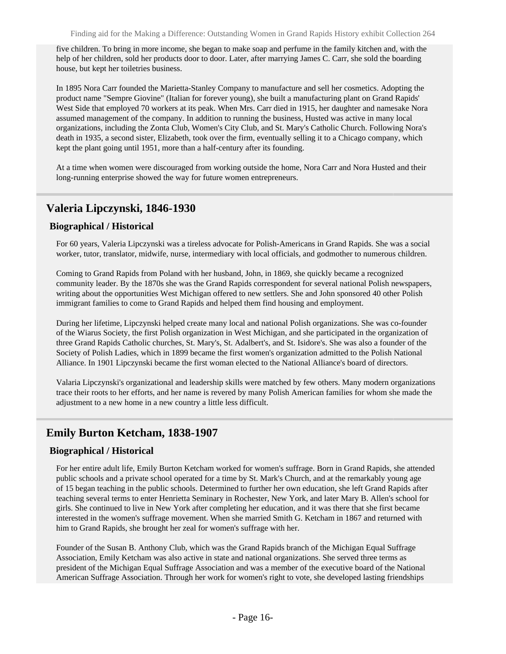five children. To bring in more income, she began to make soap and perfume in the family kitchen and, with the help of her children, sold her products door to door. Later, after marrying James C. Carr, she sold the boarding house, but kept her toiletries business.

In 1895 Nora Carr founded the Marietta-Stanley Company to manufacture and sell her cosmetics. Adopting the product name "Sempre Giovine" (Italian for forever young), she built a manufacturing plant on Grand Rapids' West Side that employed 70 workers at its peak. When Mrs. Carr died in 1915, her daughter and namesake Nora assumed management of the company. In addition to running the business, Husted was active in many local organizations, including the Zonta Club, Women's City Club, and St. Mary's Catholic Church. Following Nora's death in 1935, a second sister, Elizabeth, took over the firm, eventually selling it to a Chicago company, which kept the plant going until 1951, more than a half-century after its founding.

At a time when women were discouraged from working outside the home, Nora Carr and Nora Husted and their long-running enterprise showed the way for future women entrepreneurs.

# <span id="page-15-0"></span>**Valeria Lipczynski, 1846-1930**

### **Biographical / Historical**

For 60 years, Valeria Lipczynski was a tireless advocate for Polish-Americans in Grand Rapids. She was a social worker, tutor, translator, midwife, nurse, intermediary with local officials, and godmother to numerous children.

Coming to Grand Rapids from Poland with her husband, John, in 1869, she quickly became a recognized community leader. By the 1870s she was the Grand Rapids correspondent for several national Polish newspapers, writing about the opportunities West Michigan offered to new settlers. She and John sponsored 40 other Polish immigrant families to come to Grand Rapids and helped them find housing and employment.

During her lifetime, Lipczynski helped create many local and national Polish organizations. She was co-founder of the Wiarus Society, the first Polish organization in West Michigan, and she participated in the organization of three Grand Rapids Catholic churches, St. Mary's, St. Adalbert's, and St. Isidore's. She was also a founder of the Society of Polish Ladies, which in 1899 became the first women's organization admitted to the Polish National Alliance. In 1901 Lipczynski became the first woman elected to the National Alliance's board of directors.

Valaria Lipczynski's organizational and leadership skills were matched by few others. Many modern organizations trace their roots to her efforts, and her name is revered by many Polish American families for whom she made the adjustment to a new home in a new country a little less difficult.

# <span id="page-15-1"></span>**Emily Burton Ketcham, 1838-1907**

### **Biographical / Historical**

For her entire adult life, Emily Burton Ketcham worked for women's suffrage. Born in Grand Rapids, she attended public schools and a private school operated for a time by St. Mark's Church, and at the remarkably young age of 15 began teaching in the public schools. Determined to further her own education, she left Grand Rapids after teaching several terms to enter Henrietta Seminary in Rochester, New York, and later Mary B. Allen's school for girls. She continued to live in New York after completing her education, and it was there that she first became interested in the women's suffrage movement. When she married Smith G. Ketcham in 1867 and returned with him to Grand Rapids, she brought her zeal for women's suffrage with her.

Founder of the Susan B. Anthony Club, which was the Grand Rapids branch of the Michigan Equal Suffrage Association, Emily Ketcham was also active in state and national organizations. She served three terms as president of the Michigan Equal Suffrage Association and was a member of the executive board of the National American Suffrage Association. Through her work for women's right to vote, she developed lasting friendships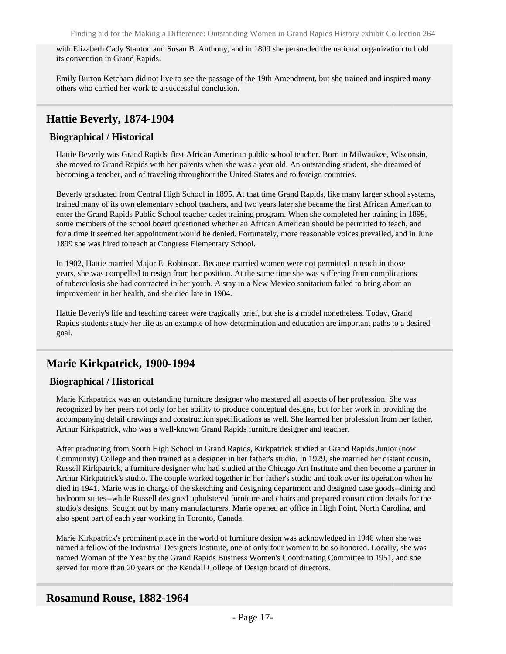with Elizabeth Cady Stanton and Susan B. Anthony, and in 1899 she persuaded the national organization to hold its convention in Grand Rapids.

Emily Burton Ketcham did not live to see the passage of the 19th Amendment, but she trained and inspired many others who carried her work to a successful conclusion.

### <span id="page-16-0"></span>**Hattie Beverly, 1874-1904**

### **Biographical / Historical**

Hattie Beverly was Grand Rapids' first African American public school teacher. Born in Milwaukee, Wisconsin, she moved to Grand Rapids with her parents when she was a year old. An outstanding student, she dreamed of becoming a teacher, and of traveling throughout the United States and to foreign countries.

Beverly graduated from Central High School in 1895. At that time Grand Rapids, like many larger school systems, trained many of its own elementary school teachers, and two years later she became the first African American to enter the Grand Rapids Public School teacher cadet training program. When she completed her training in 1899, some members of the school board questioned whether an African American should be permitted to teach, and for a time it seemed her appointment would be denied. Fortunately, more reasonable voices prevailed, and in June 1899 she was hired to teach at Congress Elementary School.

In 1902, Hattie married Major E. Robinson. Because married women were not permitted to teach in those years, she was compelled to resign from her position. At the same time she was suffering from complications of tuberculosis she had contracted in her youth. A stay in a New Mexico sanitarium failed to bring about an improvement in her health, and she died late in 1904.

Hattie Beverly's life and teaching career were tragically brief, but she is a model nonetheless. Today, Grand Rapids students study her life as an example of how determination and education are important paths to a desired goal.

### <span id="page-16-1"></span>**Marie Kirkpatrick, 1900-1994**

### **Biographical / Historical**

Marie Kirkpatrick was an outstanding furniture designer who mastered all aspects of her profession. She was recognized by her peers not only for her ability to produce conceptual designs, but for her work in providing the accompanying detail drawings and construction specifications as well. She learned her profession from her father, Arthur Kirkpatrick, who was a well-known Grand Rapids furniture designer and teacher.

After graduating from South High School in Grand Rapids, Kirkpatrick studied at Grand Rapids Junior (now Community) College and then trained as a designer in her father's studio. In 1929, she married her distant cousin, Russell Kirkpatrick, a furniture designer who had studied at the Chicago Art Institute and then become a partner in Arthur Kirkpatrick's studio. The couple worked together in her father's studio and took over its operation when he died in 1941. Marie was in charge of the sketching and designing department and designed case goods--dining and bedroom suites--while Russell designed upholstered furniture and chairs and prepared construction details for the studio's designs. Sought out by many manufacturers, Marie opened an office in High Point, North Carolina, and also spent part of each year working in Toronto, Canada.

Marie Kirkpatrick's prominent place in the world of furniture design was acknowledged in 1946 when she was named a fellow of the Industrial Designers Institute, one of only four women to be so honored. Locally, she was named Woman of the Year by the Grand Rapids Business Women's Coordinating Committee in 1951, and she served for more than 20 years on the Kendall College of Design board of directors.

### <span id="page-16-2"></span>**Rosamund Rouse, 1882-1964**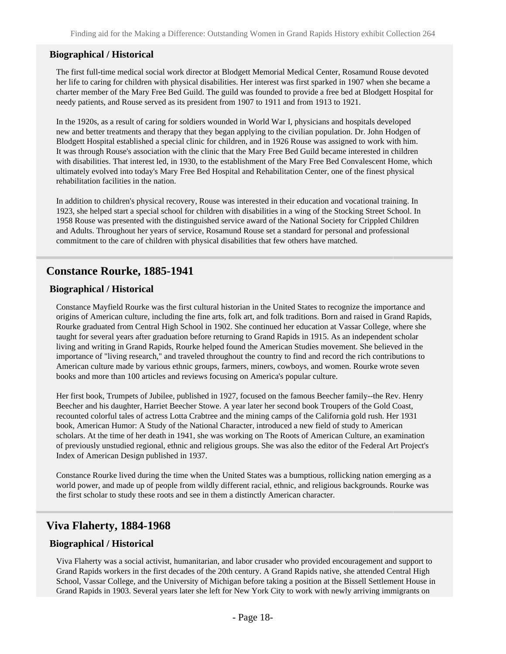#### **Biographical / Historical**

The first full-time medical social work director at Blodgett Memorial Medical Center, Rosamund Rouse devoted her life to caring for children with physical disabilities. Her interest was first sparked in 1907 when she became a charter member of the Mary Free Bed Guild. The guild was founded to provide a free bed at Blodgett Hospital for needy patients, and Rouse served as its president from 1907 to 1911 and from 1913 to 1921.

In the 1920s, as a result of caring for soldiers wounded in World War I, physicians and hospitals developed new and better treatments and therapy that they began applying to the civilian population. Dr. John Hodgen of Blodgett Hospital established a special clinic for children, and in 1926 Rouse was assigned to work with him. It was through Rouse's association with the clinic that the Mary Free Bed Guild became interested in children with disabilities. That interest led, in 1930, to the establishment of the Mary Free Bed Convalescent Home, which ultimately evolved into today's Mary Free Bed Hospital and Rehabilitation Center, one of the finest physical rehabilitation facilities in the nation.

In addition to children's physical recovery, Rouse was interested in their education and vocational training. In 1923, she helped start a special school for children with disabilities in a wing of the Stocking Street School. In 1958 Rouse was presented with the distinguished service award of the National Society for Crippled Children and Adults. Throughout her years of service, Rosamund Rouse set a standard for personal and professional commitment to the care of children with physical disabilities that few others have matched.

### <span id="page-17-0"></span>**Constance Rourke, 1885-1941**

#### **Biographical / Historical**

Constance Mayfield Rourke was the first cultural historian in the United States to recognize the importance and origins of American culture, including the fine arts, folk art, and folk traditions. Born and raised in Grand Rapids, Rourke graduated from Central High School in 1902. She continued her education at Vassar College, where she taught for several years after graduation before returning to Grand Rapids in 1915. As an independent scholar living and writing in Grand Rapids, Rourke helped found the American Studies movement. She believed in the importance of "living research," and traveled throughout the country to find and record the rich contributions to American culture made by various ethnic groups, farmers, miners, cowboys, and women. Rourke wrote seven books and more than 100 articles and reviews focusing on America's popular culture.

Her first book, Trumpets of Jubilee, published in 1927, focused on the famous Beecher family--the Rev. Henry Beecher and his daughter, Harriet Beecher Stowe. A year later her second book Troupers of the Gold Coast, recounted colorful tales of actress Lotta Crabtree and the mining camps of the California gold rush. Her 1931 book, American Humor: A Study of the National Character, introduced a new field of study to American scholars. At the time of her death in 1941, she was working on The Roots of American Culture, an examination of previously unstudied regional, ethnic and religious groups. She was also the editor of the Federal Art Project's Index of American Design published in 1937.

Constance Rourke lived during the time when the United States was a bumptious, rollicking nation emerging as a world power, and made up of people from wildly different racial, ethnic, and religious backgrounds. Rourke was the first scholar to study these roots and see in them a distinctly American character.

### <span id="page-17-1"></span>**Viva Flaherty, 1884-1968**

#### **Biographical / Historical**

Viva Flaherty was a social activist, humanitarian, and labor crusader who provided encouragement and support to Grand Rapids workers in the first decades of the 20th century. A Grand Rapids native, she attended Central High School, Vassar College, and the University of Michigan before taking a position at the Bissell Settlement House in Grand Rapids in 1903. Several years later she left for New York City to work with newly arriving immigrants on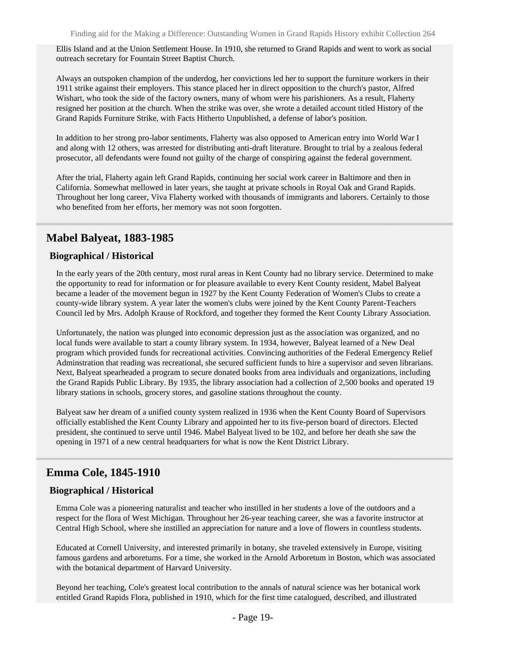Ellis Island and at the Union Settlement House. In 1910, she returned to Grand Rapids and went to work as social outreach secretary for Fountain Street Baptist Church.

Always an outspoken champion of the underdog, her convictions led her to support the furniture workers in their 1911 strike against their employers. This stance placed her in direct opposition to the church's pastor, Alfred Wishart, who took the side of the factory owners, many of whom were his parishioners. As a result, Flaherty resigned her position at the church. When the strike was over, she wrote a detailed account titled History of the Grand Rapids Furniture Strike, with Facts Hitherto Unpublished, a defense of labor's position.

In addition to her strong pro-labor sentiments, Flaherty was also opposed to American entry into World War I and along with 12 others, was arrested for distributing anti-draft literature. Brought to trial by a zealous federal prosecutor, all defendants were found not guilty of the charge of conspiring against the federal government.

After the trial, Flaherty again left Grand Rapids, continuing her social work career in Baltimore and then in California. Somewhat mellowed in later years, she taught at private schools in Royal Oak and Grand Rapids. Throughout her long career, Viva Flaherty worked with thousands of immigrants and laborers. Certainly to those who benefited from her efforts, her memory was not soon forgotten.

### <span id="page-18-0"></span>**Mabel Balyeat, 1883-1985**

#### **Biographical / Historical**

In the early years of the 20th century, most rural areas in Kent County had no library service. Determined to make the opportunity to read for information or for pleasure available to every Kent County resident, Mabel Balyeat became a leader of the movement begun in 1927 by the Kent County Federation of Women's Clubs to create a county-wide library system. A year later the women's clubs were joined by the Kent County Parent-Teachers Council led by Mrs. Adolph Krause of Rockford, and together they formed the Kent County Library Association.

Unfortunately, the nation was plunged into economic depression just as the association was organized, and no local funds were available to start a county library system. In 1934, however, Balyeat learned of a New Deal program which provided funds for recreational activities. Convincing authorities of the Federal Emergency Relief Adminstration that reading was recreational, she secured sufficient funds to hire a supervisor and seven librarians. Next, Balyeat spearheaded a program to secure donated books from area individuals and organizations, including the Grand Rapids Public Library. By 1935, the library association had a collection of 2,500 books and operated 19 library stations in schools, grocery stores, and gasoline stations throughout the county.

Balyeat saw her dream of a unified county system realized in 1936 when the Kent County Board of Supervisors officially established the Kent County Library and appointed her to its five-person board of directors. Elected president, she continued to serve until 1946. Mabel Balyeat lived to be 102, and before her death she saw the opening in 1971 of a new central headquarters for what is now the Kent District Library.

### <span id="page-18-1"></span>**Emma Cole, 1845-1910**

### **Biographical / Historical**

Emma Cole was a pioneering naturalist and teacher who instilled in her students a love of the outdoors and a respect for the flora of West Michigan. Throughout her 26-year teaching career, she was a favorite instructor at Central High School, where she instilled an appreciation for nature and a love of flowers in countless students.

Educated at Cornell University, and interested primarily in botany, she traveled extensively in Europe, visiting famous gardens and arboretums. For a time, she worked in the Arnold Arboretum in Boston, which was associated with the botanical department of Harvard University.

Beyond her teaching, Cole's greatest local contribution to the annals of natural science was her botanical work entitled Grand Rapids Flora, published in 1910, which for the first time catalogued, described, and illustrated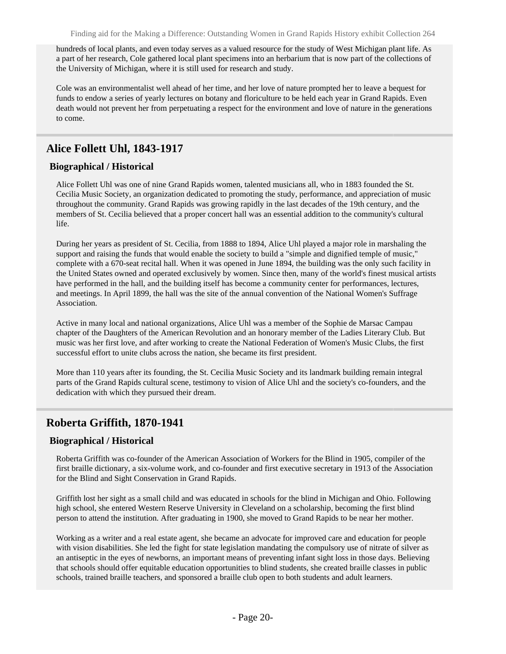hundreds of local plants, and even today serves as a valued resource for the study of West Michigan plant life. As a part of her research, Cole gathered local plant specimens into an herbarium that is now part of the collections of the University of Michigan, where it is still used for research and study.

Cole was an environmentalist well ahead of her time, and her love of nature prompted her to leave a bequest for funds to endow a series of yearly lectures on botany and floriculture to be held each year in Grand Rapids. Even death would not prevent her from perpetuating a respect for the environment and love of nature in the generations to come.

# <span id="page-19-0"></span>**Alice Follett Uhl, 1843-1917**

### **Biographical / Historical**

Alice Follett Uhl was one of nine Grand Rapids women, talented musicians all, who in 1883 founded the St. Cecilia Music Society, an organization dedicated to promoting the study, performance, and appreciation of music throughout the community. Grand Rapids was growing rapidly in the last decades of the 19th century, and the members of St. Cecilia believed that a proper concert hall was an essential addition to the community's cultural life.

During her years as president of St. Cecilia, from 1888 to 1894, Alice Uhl played a major role in marshaling the support and raising the funds that would enable the society to build a "simple and dignified temple of music," complete with a 670-seat recital hall. When it was opened in June 1894, the building was the only such facility in the United States owned and operated exclusively by women. Since then, many of the world's finest musical artists have performed in the hall, and the building itself has become a community center for performances, lectures, and meetings. In April 1899, the hall was the site of the annual convention of the National Women's Suffrage Association.

Active in many local and national organizations, Alice Uhl was a member of the Sophie de Marsac Campau chapter of the Daughters of the American Revolution and an honorary member of the Ladies Literary Club. But music was her first love, and after working to create the National Federation of Women's Music Clubs, the first successful effort to unite clubs across the nation, she became its first president.

More than 110 years after its founding, the St. Cecilia Music Society and its landmark building remain integral parts of the Grand Rapids cultural scene, testimony to vision of Alice Uhl and the society's co-founders, and the dedication with which they pursued their dream.

# <span id="page-19-1"></span>**Roberta Griffith, 1870-1941**

### **Biographical / Historical**

Roberta Griffith was co-founder of the American Association of Workers for the Blind in 1905, compiler of the first braille dictionary, a six-volume work, and co-founder and first executive secretary in 1913 of the Association for the Blind and Sight Conservation in Grand Rapids.

Griffith lost her sight as a small child and was educated in schools for the blind in Michigan and Ohio. Following high school, she entered Western Reserve University in Cleveland on a scholarship, becoming the first blind person to attend the institution. After graduating in 1900, she moved to Grand Rapids to be near her mother.

Working as a writer and a real estate agent, she became an advocate for improved care and education for people with vision disabilities. She led the fight for state legislation mandating the compulsory use of nitrate of silver as an antiseptic in the eyes of newborns, an important means of preventing infant sight loss in those days. Believing that schools should offer equitable education opportunities to blind students, she created braille classes in public schools, trained braille teachers, and sponsored a braille club open to both students and adult learners.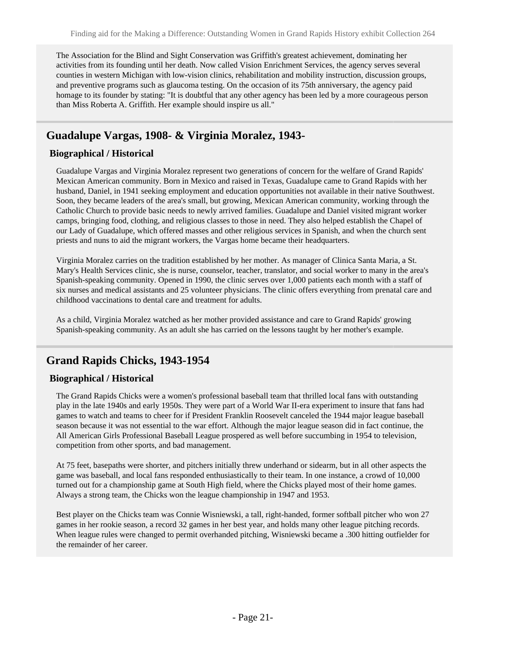The Association for the Blind and Sight Conservation was Griffith's greatest achievement, dominating her activities from its founding until her death. Now called Vision Enrichment Services, the agency serves several counties in western Michigan with low-vision clinics, rehabilitation and mobility instruction, discussion groups, and preventive programs such as glaucoma testing. On the occasion of its 75th anniversary, the agency paid homage to its founder by stating: "It is doubtful that any other agency has been led by a more courageous person than Miss Roberta A. Griffith. Her example should inspire us all."

# <span id="page-20-0"></span>**Guadalupe Vargas, 1908- & Virginia Moralez, 1943-**

### **Biographical / Historical**

Guadalupe Vargas and Virginia Moralez represent two generations of concern for the welfare of Grand Rapids' Mexican American community. Born in Mexico and raised in Texas, Guadalupe came to Grand Rapids with her husband, Daniel, in 1941 seeking employment and education opportunities not available in their native Southwest. Soon, they became leaders of the area's small, but growing, Mexican American community, working through the Catholic Church to provide basic needs to newly arrived families. Guadalupe and Daniel visited migrant worker camps, bringing food, clothing, and religious classes to those in need. They also helped establish the Chapel of our Lady of Guadalupe, which offered masses and other religious services in Spanish, and when the church sent priests and nuns to aid the migrant workers, the Vargas home became their headquarters.

Virginia Moralez carries on the tradition established by her mother. As manager of Clinica Santa Maria, a St. Mary's Health Services clinic, she is nurse, counselor, teacher, translator, and social worker to many in the area's Spanish-speaking community. Opened in 1990, the clinic serves over 1,000 patients each month with a staff of six nurses and medical assistants and 25 volunteer physicians. The clinic offers everything from prenatal care and childhood vaccinations to dental care and treatment for adults.

As a child, Virginia Moralez watched as her mother provided assistance and care to Grand Rapids' growing Spanish-speaking community. As an adult she has carried on the lessons taught by her mother's example.

# <span id="page-20-1"></span>**Grand Rapids Chicks, 1943-1954**

### **Biographical / Historical**

The Grand Rapids Chicks were a women's professional baseball team that thrilled local fans with outstanding play in the late 1940s and early 1950s. They were part of a World War II-era experiment to insure that fans had games to watch and teams to cheer for if President Franklin Roosevelt canceled the 1944 major league baseball season because it was not essential to the war effort. Although the major league season did in fact continue, the All American Girls Professional Baseball League prospered as well before succumbing in 1954 to television, competition from other sports, and bad management.

At 75 feet, basepaths were shorter, and pitchers initially threw underhand or sidearm, but in all other aspects the game was baseball, and local fans responded enthusiastically to their team. In one instance, a crowd of 10,000 turned out for a championship game at South High field, where the Chicks played most of their home games. Always a strong team, the Chicks won the league championship in 1947 and 1953.

Best player on the Chicks team was Connie Wisniewski, a tall, right-handed, former softball pitcher who won 27 games in her rookie season, a record 32 games in her best year, and holds many other league pitching records. When league rules were changed to permit overhanded pitching, Wisniewski became a .300 hitting outfielder for the remainder of her career.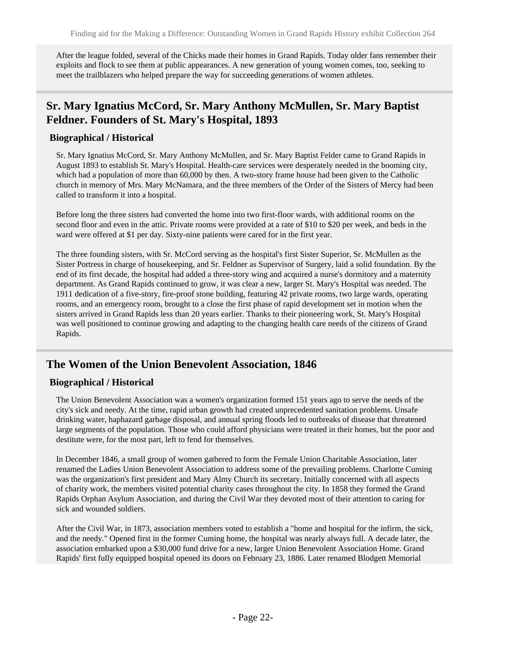After the league folded, several of the Chicks made their homes in Grand Rapids. Today older fans remember their exploits and flock to see them at public appearances. A new generation of young women comes, too, seeking to meet the trailblazers who helped prepare the way for succeeding generations of women athletes.

# <span id="page-21-0"></span>**Sr. Mary Ignatius McCord, Sr. Mary Anthony McMullen, Sr. Mary Baptist Feldner. Founders of St. Mary's Hospital, 1893**

#### **Biographical / Historical**

Sr. Mary Ignatius McCord, Sr. Mary Anthony McMullen, and Sr. Mary Baptist Felder came to Grand Rapids in August 1893 to establish St. Mary's Hospital. Health-care services were desperately needed in the booming city, which had a population of more than 60,000 by then. A two-story frame house had been given to the Catholic church in memory of Mrs. Mary McNamara, and the three members of the Order of the Sisters of Mercy had been called to transform it into a hospital.

Before long the three sisters had converted the home into two first-floor wards, with additional rooms on the second floor and even in the attic. Private rooms were provided at a rate of \$10 to \$20 per week, and beds in the ward were offered at \$1 per day. Sixty-nine patients were cared for in the first year.

The three founding sisters, with Sr. McCord serving as the hospital's first Sister Superior, Sr. McMullen as the Sister Portress in charge of housekeeping, and Sr. Feldner as Supervisor of Surgery, laid a solid foundation. By the end of its first decade, the hospital had added a three-story wing and acquired a nurse's dormitory and a maternity department. As Grand Rapids continued to grow, it was clear a new, larger St. Mary's Hospital was needed. The 1911 dedication of a five-story, fire-proof stone building, featuring 42 private rooms, two large wards, operating rooms, and an emergency room, brought to a close the first phase of rapid development set in motion when the sisters arrived in Grand Rapids less than 20 years earlier. Thanks to their pioneering work, St. Mary's Hospital was well positioned to continue growing and adapting to the changing health care needs of the citizens of Grand Rapids.

### <span id="page-21-1"></span>**The Women of the Union Benevolent Association, 1846**

### **Biographical / Historical**

The Union Benevolent Association was a women's organization formed 151 years ago to serve the needs of the city's sick and needy. At the time, rapid urban growth had created unprecedented sanitation problems. Unsafe drinking water, haphazard garbage disposal, and annual spring floods led to outbreaks of disease that threatened large segments of the population. Those who could afford physicians were treated in their homes, but the poor and destitute were, for the most part, left to fend for themselves.

In December 1846, a small group of women gathered to form the Female Union Charitable Association, later renamed the Ladies Union Benevolent Association to address some of the prevailing problems. Charlotte Cuming was the organization's first president and Mary Almy Church its secretary. Initially concerned with all aspects of charity work, the members visited potential charity cases throughout the city. In 1858 they formed the Grand Rapids Orphan Asylum Association, and during the Civil War they devoted most of their attention to caring for sick and wounded soldiers.

After the Civil War, in 1873, association members voted to establish a "home and hospital for the infirm, the sick, and the needy." Opened first in the former Cuming home, the hospital was nearly always full. A decade later, the association embarked upon a \$30,000 fund drive for a new, larger Union Benevolent Association Home. Grand Rapids' first fully equipped hospital opened its doors on February 23, 1886. Later renamed Blodgett Memorial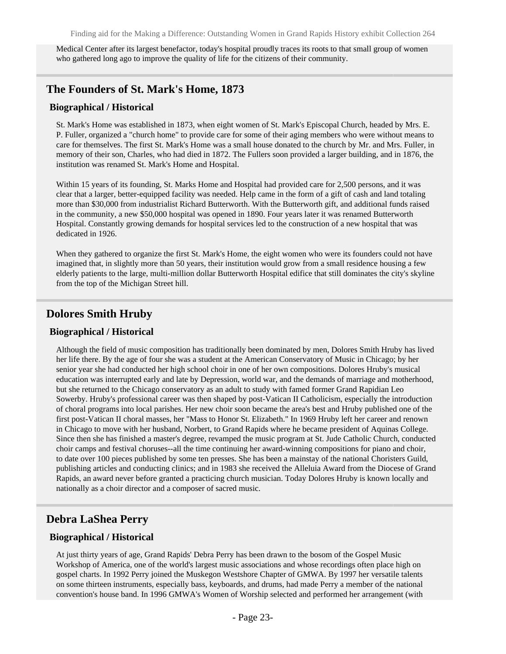Medical Center after its largest benefactor, today's hospital proudly traces its roots to that small group of women who gathered long ago to improve the quality of life for the citizens of their community.

### <span id="page-22-0"></span>**The Founders of St. Mark's Home, 1873**

#### **Biographical / Historical**

St. Mark's Home was established in 1873, when eight women of St. Mark's Episcopal Church, headed by Mrs. E. P. Fuller, organized a "church home" to provide care for some of their aging members who were without means to care for themselves. The first St. Mark's Home was a small house donated to the church by Mr. and Mrs. Fuller, in memory of their son, Charles, who had died in 1872. The Fullers soon provided a larger building, and in 1876, the institution was renamed St. Mark's Home and Hospital.

Within 15 years of its founding, St. Marks Home and Hospital had provided care for 2,500 persons, and it was clear that a larger, better-equipped facility was needed. Help came in the form of a gift of cash and land totaling more than \$30,000 from industrialist Richard Butterworth. With the Butterworth gift, and additional funds raised in the community, a new \$50,000 hospital was opened in 1890. Four years later it was renamed Butterworth Hospital. Constantly growing demands for hospital services led to the construction of a new hospital that was dedicated in 1926.

When they gathered to organize the first St. Mark's Home, the eight women who were its founders could not have imagined that, in slightly more than 50 years, their institution would grow from a small residence housing a few elderly patients to the large, multi-million dollar Butterworth Hospital edifice that still dominates the city's skyline from the top of the Michigan Street hill.

### <span id="page-22-1"></span>**Dolores Smith Hruby**

### **Biographical / Historical**

Although the field of music composition has traditionally been dominated by men, Dolores Smith Hruby has lived her life there. By the age of four she was a student at the American Conservatory of Music in Chicago; by her senior year she had conducted her high school choir in one of her own compositions. Dolores Hruby's musical education was interrupted early and late by Depression, world war, and the demands of marriage and motherhood, but she returned to the Chicago conservatory as an adult to study with famed former Grand Rapidian Leo Sowerby. Hruby's professional career was then shaped by post-Vatican II Catholicism, especially the introduction of choral programs into local parishes. Her new choir soon became the area's best and Hruby published one of the first post-Vatican II choral masses, her "Mass to Honor St. Elizabeth." In 1969 Hruby left her career and renown in Chicago to move with her husband, Norbert, to Grand Rapids where he became president of Aquinas College. Since then she has finished a master's degree, revamped the music program at St. Jude Catholic Church, conducted choir camps and festival choruses--all the time continuing her award-winning compositions for piano and choir, to date over 100 pieces published by some ten presses. She has been a mainstay of the national Choristers Guild, publishing articles and conducting clinics; and in 1983 she received the Alleluia Award from the Diocese of Grand Rapids, an award never before granted a practicing church musician. Today Dolores Hruby is known locally and nationally as a choir director and a composer of sacred music.

### <span id="page-22-2"></span>**Debra LaShea Perry**

### **Biographical / Historical**

At just thirty years of age, Grand Rapids' Debra Perry has been drawn to the bosom of the Gospel Music Workshop of America, one of the world's largest music associations and whose recordings often place high on gospel charts. In 1992 Perry joined the Muskegon Westshore Chapter of GMWA. By 1997 her versatile talents on some thirteen instruments, especially bass, keyboards, and drums, had made Perry a member of the national convention's house band. In 1996 GMWA's Women of Worship selected and performed her arrangement (with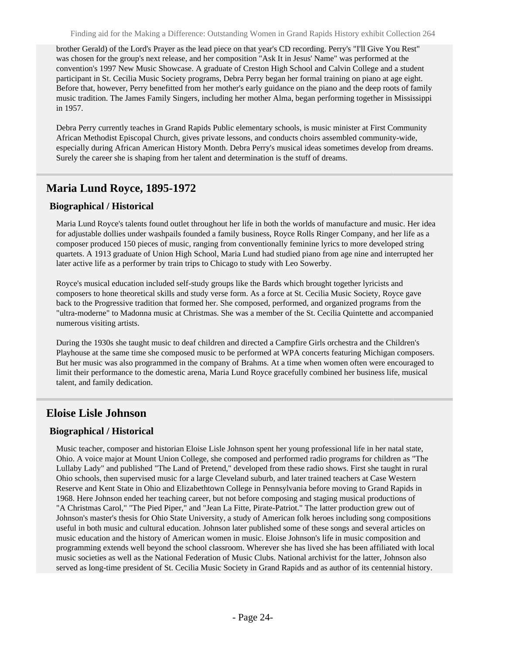brother Gerald) of the Lord's Prayer as the lead piece on that year's CD recording. Perry's "I'll Give You Rest" was chosen for the group's next release, and her composition "Ask It in Jesus' Name" was performed at the convention's 1997 New Music Showcase. A graduate of Creston High School and Calvin College and a student participant in St. Cecilia Music Society programs, Debra Perry began her formal training on piano at age eight. Before that, however, Perry benefitted from her mother's early guidance on the piano and the deep roots of family music tradition. The James Family Singers, including her mother Alma, began performing together in Mississippi in 1957.

Debra Perry currently teaches in Grand Rapids Public elementary schools, is music minister at First Community African Methodist Episcopal Church, gives private lessons, and conducts choirs assembled community-wide, especially during African American History Month. Debra Perry's musical ideas sometimes develop from dreams. Surely the career she is shaping from her talent and determination is the stuff of dreams.

# <span id="page-23-0"></span>**Maria Lund Royce, 1895-1972**

#### **Biographical / Historical**

Maria Lund Royce's talents found outlet throughout her life in both the worlds of manufacture and music. Her idea for adjustable dollies under washpails founded a family business, Royce Rolls Ringer Company, and her life as a composer produced 150 pieces of music, ranging from conventionally feminine lyrics to more developed string quartets. A 1913 graduate of Union High School, Maria Lund had studied piano from age nine and interrupted her later active life as a performer by train trips to Chicago to study with Leo Sowerby.

Royce's musical education included self-study groups like the Bards which brought together lyricists and composers to hone theoretical skills and study verse form. As a force at St. Cecilia Music Society, Royce gave back to the Progressive tradition that formed her. She composed, performed, and organized programs from the "ultra-moderne" to Madonna music at Christmas. She was a member of the St. Cecilia Quintette and accompanied numerous visiting artists.

During the 1930s she taught music to deaf children and directed a Campfire Girls orchestra and the Children's Playhouse at the same time she composed music to be performed at WPA concerts featuring Michigan composers. But her music was also programmed in the company of Brahms. At a time when women often were encouraged to limit their performance to the domestic arena, Maria Lund Royce gracefully combined her business life, musical talent, and family dedication.

### <span id="page-23-1"></span>**Eloise Lisle Johnson**

### **Biographical / Historical**

Music teacher, composer and historian Eloise Lisle Johnson spent her young professional life in her natal state, Ohio. A voice major at Mount Union College, she composed and performed radio programs for children as "The Lullaby Lady" and published "The Land of Pretend," developed from these radio shows. First she taught in rural Ohio schools, then supervised music for a large Cleveland suburb, and later trained teachers at Case Western Reserve and Kent State in Ohio and Elizabethtown College in Pennsylvania before moving to Grand Rapids in 1968. Here Johnson ended her teaching career, but not before composing and staging musical productions of "A Christmas Carol," "The Pied Piper," and "Jean La Fitte, Pirate-Patriot." The latter production grew out of Johnson's master's thesis for Ohio State University, a study of American folk heroes including song compositions useful in both music and cultural education. Johnson later published some of these songs and several articles on music education and the history of American women in music. Eloise Johnson's life in music composition and programming extends well beyond the school classroom. Wherever she has lived she has been affiliated with local music societies as well as the National Federation of Music Clubs. National archivist for the latter, Johnson also served as long-time president of St. Cecilia Music Society in Grand Rapids and as author of its centennial history.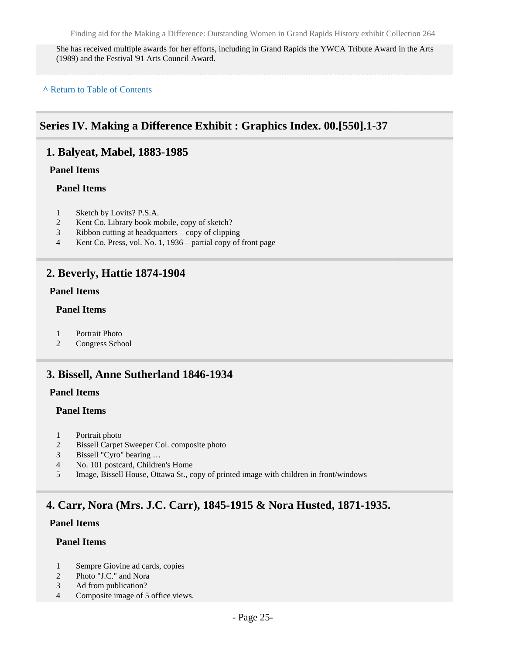She has received multiple awards for her efforts, including in Grand Rapids the YWCA Tribute Award in the Arts (1989) and the Festival '91 Arts Council Award.

**^** [Return to Table of Contents](#page-1-0)

# <span id="page-24-0"></span>**Series IV. Making a Difference Exhibit : Graphics Index. 00.[550].1-37**

### <span id="page-24-1"></span>**1. Balyeat, Mabel, 1883-1985**

### **Panel Items**

#### **Panel Items**

- 1 Sketch by Lovits? P.S.A.
- 2 Kent Co. Library book mobile, copy of sketch?
- 3 Ribbon cutting at headquarters copy of clipping
- 4 Kent Co. Press, vol. No. 1, 1936 partial copy of front page

### <span id="page-24-2"></span>**2. Beverly, Hattie 1874-1904**

### **Panel Items**

#### **Panel Items**

- 1 Portrait Photo
- 2 Congress School

### <span id="page-24-3"></span>**3. Bissell, Anne Sutherland 1846-1934**

#### **Panel Items**

### **Panel Items**

- 1 Portrait photo
- 2 Bissell Carpet Sweeper Col. composite photo
- 3 Bissell "Cyro" bearing …
- 4 No. 101 postcard, Children's Home
- 5 Image, Bissell House, Ottawa St., copy of printed image with children in front/windows

# <span id="page-24-4"></span>**4. Carr, Nora (Mrs. J.C. Carr), 1845-1915 & Nora Husted, 1871-1935.**

### **Panel Items**

### **Panel Items**

- 1 Sempre Giovine ad cards, copies
- 2 Photo "J.C." and Nora
- 3 Ad from publication?
- 4 Composite image of 5 office views.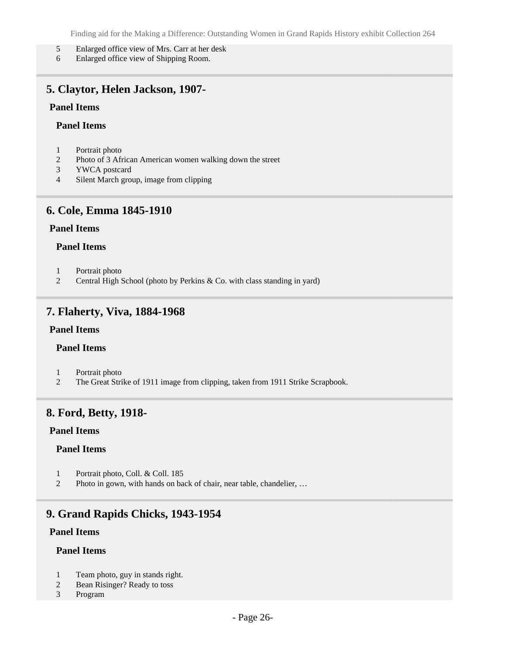- 5 Enlarged office view of Mrs. Carr at her desk
- 6 Enlarged office view of Shipping Room.

### <span id="page-25-0"></span>**5. Claytor, Helen Jackson, 1907-**

#### **Panel Items**

#### **Panel Items**

- 1 Portrait photo
- 2 Photo of 3 African American women walking down the street
- 3 YWCA postcard
- 4 Silent March group, image from clipping

### <span id="page-25-1"></span>**6. Cole, Emma 1845-1910**

### **Panel Items**

#### **Panel Items**

- 1 Portrait photo
- 2 Central High School (photo by Perkins & Co. with class standing in yard)

### <span id="page-25-2"></span>**7. Flaherty, Viva, 1884-1968**

#### **Panel Items**

#### **Panel Items**

- 1 Portrait photo
- 2 The Great Strike of 1911 image from clipping, taken from 1911 Strike Scrapbook.

### <span id="page-25-3"></span>**8. Ford, Betty, 1918-**

#### **Panel Items**

#### **Panel Items**

- 1 Portrait photo, Coll. & Coll. 185
- 2 Photo in gown, with hands on back of chair, near table, chandelier, …

### <span id="page-25-4"></span>**9. Grand Rapids Chicks, 1943-1954**

### **Panel Items**

### **Panel Items**

- 1 Team photo, guy in stands right.
- 2 Bean Risinger? Ready to toss
- 3 Program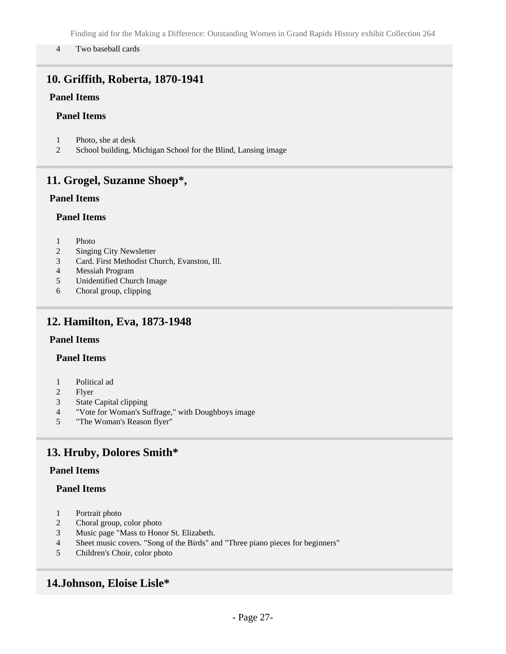#### 4 Two baseball cards

# <span id="page-26-0"></span>**10. Griffith, Roberta, 1870-1941**

### **Panel Items**

### **Panel Items**

- 1 Photo, she at desk
- 2 School building, Michigan School for the Blind, Lansing image

### <span id="page-26-1"></span>**11. Grogel, Suzanne Shoep\*,**

### **Panel Items**

#### **Panel Items**

- 1 Photo
- 2 Singing City Newsletter
- 3 Card. First Methodist Church, Evanston, Ill.
- 4 Messiah Program
- 5 Unidentified Church Image
- 6 Choral group, clipping

### <span id="page-26-2"></span>**12. Hamilton, Eva, 1873-1948**

#### **Panel Items**

### **Panel Items**

- 1 Political ad
- 2 Flyer
- 3 State Capital clipping
- 4 "Vote for Woman's Suffrage," with Doughboys image
- 5 "The Woman's Reason flyer"

# <span id="page-26-3"></span>**13. Hruby, Dolores Smith\***

### **Panel Items**

### **Panel Items**

- 1 Portrait photo
- 2 Choral group, color photo
- 3 Music page "Mass to Honor St. Elizabeth.
- 4 Sheet music covers. "Song of the Birds" and "Three piano pieces for beginners"
- 5 Children's Choir, color photo

### <span id="page-26-4"></span>**14.Johnson, Eloise Lisle\***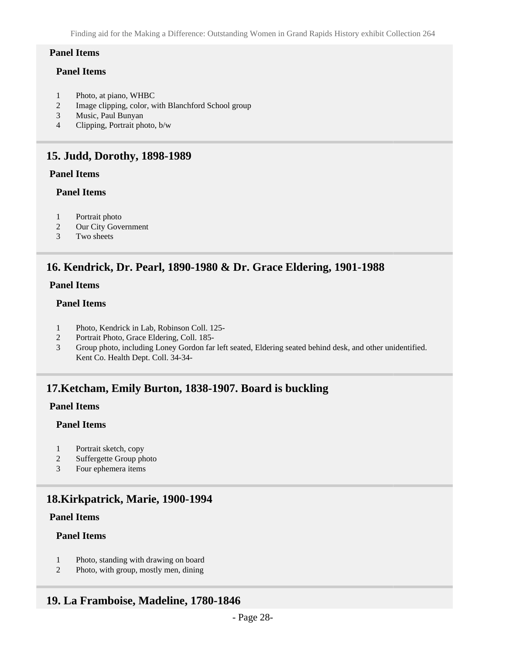#### **Panel Items**

#### **Panel Items**

- 1 Photo, at piano, WHBC
- 2 Image clipping, color, with Blanchford School group
- 3 Music, Paul Bunyan
- 4 Clipping, Portrait photo, b/w

### <span id="page-27-0"></span>**15. Judd, Dorothy, 1898-1989**

### **Panel Items**

#### **Panel Items**

- 1 Portrait photo
- 2 Our City Government
- 3 Two sheets

# <span id="page-27-1"></span>**16. Kendrick, Dr. Pearl, 1890-1980 & Dr. Grace Eldering, 1901-1988**

### **Panel Items**

### **Panel Items**

- 1 Photo, Kendrick in Lab, Robinson Coll. 125-
- 2 Portrait Photo, Grace Eldering, Coll. 185-
- 3 Group photo, including Loney Gordon far left seated, Eldering seated behind desk, and other unidentified. Kent Co. Health Dept. Coll. 34-34-

### <span id="page-27-2"></span>**17.Ketcham, Emily Burton, 1838-1907. Board is buckling**

### **Panel Items**

### **Panel Items**

- 1 Portrait sketch, copy
- 2 Suffergette Group photo
- 3 Four ephemera items

# <span id="page-27-3"></span>**18.Kirkpatrick, Marie, 1900-1994**

### **Panel Items**

### **Panel Items**

- 1 Photo, standing with drawing on board
- 2 Photo, with group, mostly men, dining

# <span id="page-27-4"></span>**19. La Framboise, Madeline, 1780-1846**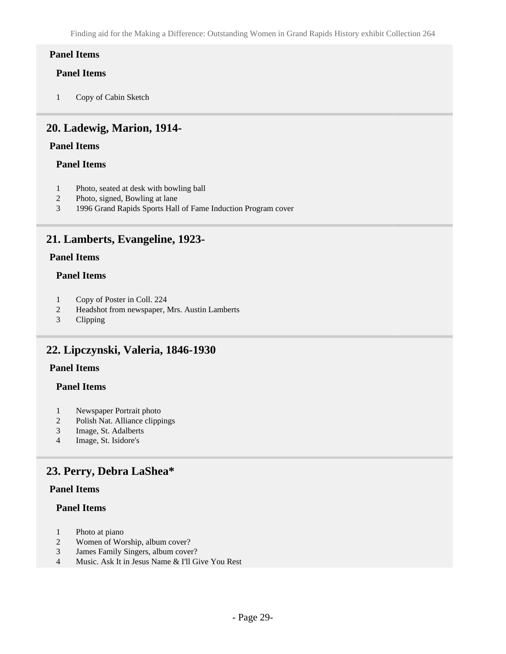### **Panel Items**

### **Panel Items**

1 Copy of Cabin Sketch

### <span id="page-28-0"></span>**20. Ladewig, Marion, 1914-**

### **Panel Items**

### **Panel Items**

- 1 Photo, seated at desk with bowling ball
- 2 Photo, signed, Bowling at lane
- 3 1996 Grand Rapids Sports Hall of Fame Induction Program cover

### <span id="page-28-1"></span>**21. Lamberts, Evangeline, 1923-**

### **Panel Items**

#### **Panel Items**

- 1 Copy of Poster in Coll. 224<br>2 Headshot from newspaper, 1
- Headshot from newspaper, Mrs. Austin Lamberts
- 3 Clipping

# <span id="page-28-2"></span>**22. Lipczynski, Valeria, 1846-1930**

### **Panel Items**

### **Panel Items**

- 1 Newspaper Portrait photo
- 2 Polish Nat. Alliance clippings
- 3 Image, St. Adalberts
- 4 Image, St. Isidore's

### <span id="page-28-3"></span>**23. Perry, Debra LaShea\***

#### **Panel Items**

### **Panel Items**

- 1 Photo at piano
- 2 Women of Worship, album cover?
- 3 James Family Singers, album cover?
- 4 Music. Ask It in Jesus Name & I'll Give You Rest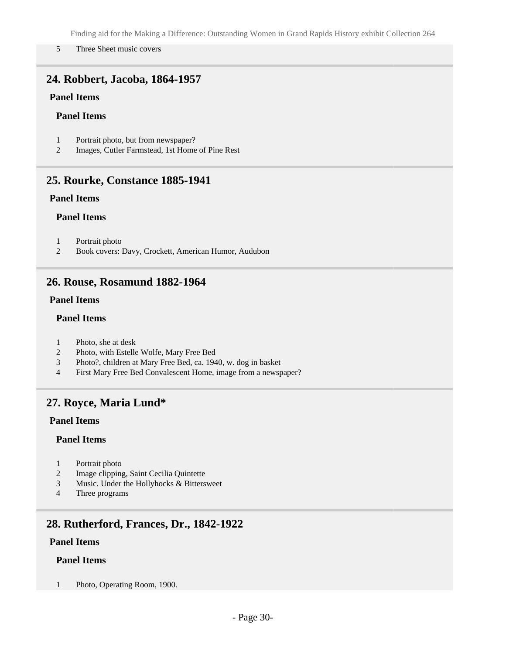#### 5 Three Sheet music covers

# <span id="page-29-0"></span>**24. Robbert, Jacoba, 1864-1957**

### **Panel Items**

### **Panel Items**

- 1 Portrait photo, but from newspaper?
- 2 Images, Cutler Farmstead, 1st Home of Pine Rest

### <span id="page-29-1"></span>**25. Rourke, Constance 1885-1941**

### **Panel Items**

#### **Panel Items**

- 1 Portrait photo
- 2 Book covers: Davy, Crockett, American Humor, Audubon

### <span id="page-29-2"></span>**26. Rouse, Rosamund 1882-1964**

### **Panel Items**

### **Panel Items**

- 1 Photo, she at desk
- 2 Photo, with Estelle Wolfe, Mary Free Bed
- 3 Photo?, children at Mary Free Bed, ca. 1940, w. dog in basket
- 4 First Mary Free Bed Convalescent Home, image from a newspaper?

### <span id="page-29-3"></span>**27. Royce, Maria Lund\***

#### **Panel Items**

### **Panel Items**

- 1 Portrait photo
- 2 Image clipping, Saint Cecilia Quintette
- 3 Music. Under the Hollyhocks & Bittersweet
- 4 Three programs

# <span id="page-29-4"></span>**28. Rutherford, Frances, Dr., 1842-1922**

### **Panel Items**

### **Panel Items**

1 Photo, Operating Room, 1900.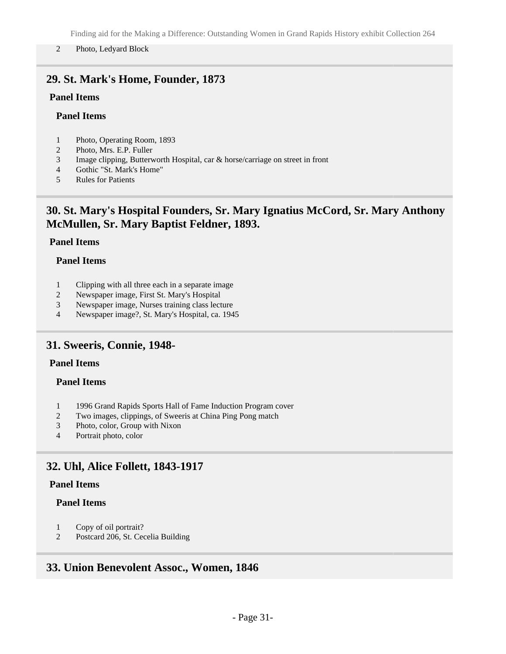#### 2 Photo, Ledyard Block

# <span id="page-30-0"></span>**29. St. Mark's Home, Founder, 1873**

### **Panel Items**

### **Panel Items**

- 1 Photo, Operating Room, 1893
- 2 Photo, Mrs. E.P. Fuller
- 3 Image clipping, Butterworth Hospital, car & horse/carriage on street in front
- 4 Gothic "St. Mark's Home"
- 5 Rules for Patients

# <span id="page-30-1"></span>**30. St. Mary's Hospital Founders, Sr. Mary Ignatius McCord, Sr. Mary Anthony McMullen, Sr. Mary Baptist Feldner, 1893.**

### **Panel Items**

### **Panel Items**

- 1 Clipping with all three each in a separate image
- 2 Newspaper image, First St. Mary's Hospital
- 3 Newspaper image, Nurses training class lecture
- 4 Newspaper image?, St. Mary's Hospital, ca. 1945

### <span id="page-30-2"></span>**31. Sweeris, Connie, 1948-**

### **Panel Items**

### **Panel Items**

- 1 1996 Grand Rapids Sports Hall of Fame Induction Program cover
- 2 Two images, clippings, of Sweeris at China Ping Pong match
- 3 Photo, color, Group with Nixon
- 4 Portrait photo, color

### <span id="page-30-3"></span>**32. Uhl, Alice Follett, 1843-1917**

### **Panel Items**

#### **Panel Items**

- 1 Copy of oil portrait?
- 2 Postcard 206, St. Cecelia Building

### <span id="page-30-4"></span>**33. Union Benevolent Assoc., Women, 1846**